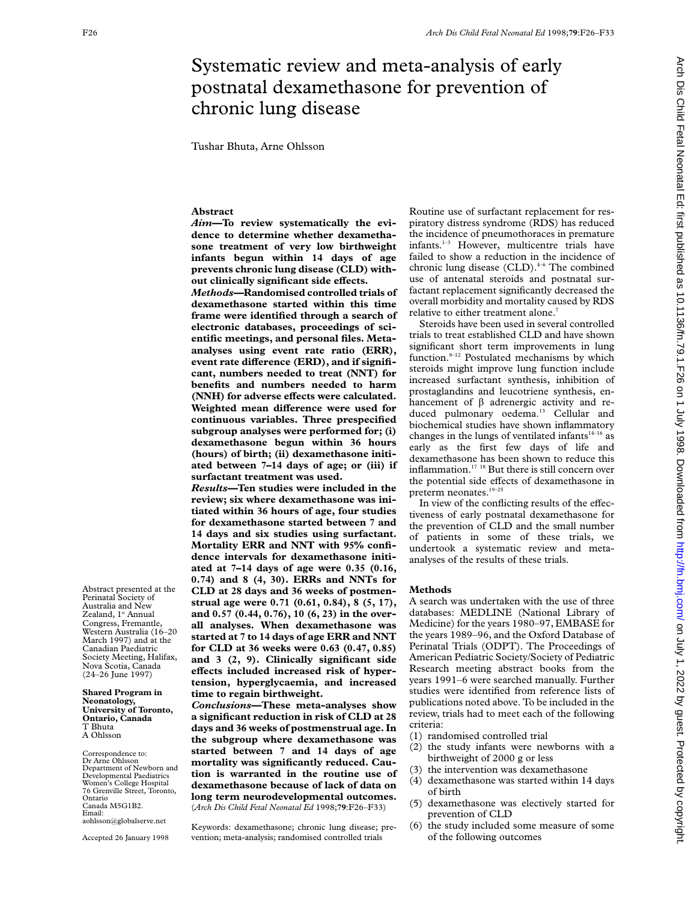# Systematic review and meta-analysis of early postnatal dexamethasone for prevention of chronic lung disease

Tushar Bhuta, Arne Ohlsson

## **Abstract**

*Aim—***To review systematically the evidence to determine whether dexamethasone treatment of very low birthweight infants begun within 14 days of age prevents chronic lung disease (CLD) with** $out$  clinically significant side effects.

*Methods—***Randomised controlled trials of dexamethasone started within this time frame were identified through a search of electronic databases, proceedings of scientific meetings, and personal files. Metaanalyses using event rate ratio (ERR),** event rate difference (ERD), and if signifi**cant, numbers needed to treat (NNT) for benefits and numbers needed to harm** (NNH) for adverse effects were calculated. Weighted mean difference were used for **continuous variables. Three prespecified subgroup analyses were performed for; (i) dexamethasone begun within 36 hours (hours) of birth; (ii) dexamethasone initiated between 7–14 days of age; or (iii) if surfactant treatment was used.**

*Results—***Ten studies were included in the review; six where dexamethasone was initiated within 36 hours of age, four studies for dexamethasone started between 7 and 14 days and six studies using surfactant. Mortality ERR and NNT with 95% confidence intervals for dexamethasone initiated at 7–14 days of age were 0.35 (0.16, 0.74) and 8 (4, 30). ERRs and NNTs for CLD at 28 days and 36 weeks of postmenstrual age were 0.71 (0.61, 0.84), 8 (5, 17), and 0.57 (0.44, 0.76), 10 (6, 23) in the overall analyses. When dexamethasone was started at 7 to 14 days of age ERR and NNT for CLD at 36 weeks were 0.63 (0.47, 0.85) and 3 (2, 9). Clinically significant side** effects included increased risk of hyper**tension, hyperglycaemia, and increased time to regain birthweight.**

*Conclusions—***These meta-analyses show a significant reduction in risk of CLD at 28 days and 36 weeks of postmenstrual age. In the subgroup where dexamethasone was started between 7 and 14 days of age mortality was significantly reduced. Caution is warranted in the routine use of dexamethasone because of lack of data on long term neurodevelopmental outcomes.** (*Arch Dis Child Fetal Neonatal Ed* 1998;**79**:F26–F33)

Keywords: dexamethasone; chronic lung disease; prevention; meta-analysis; randomised controlled trials

Routine use of surfactant replacement for respiratory distress syndrome (RDS) has reduced the incidence of pneumothoraces in premature infants.<sup>1-3</sup> However, multicentre trials have failed to show a reduction in the incidence of chronic lung disease  $(CLD)$ .<sup>4-6</sup> The combined use of antenatal steroids and postnatal surfactant replacement significantly decreased the overall morbidity and mortality caused by RDS relative to either treatment alone.<sup>7</sup>

Steroids have been used in several controlled trials to treat established CLD and have shown significant short term improvements in lung function.<sup>8-12</sup> Postulated mechanisms by which steroids might improve lung function include increased surfactant synthesis, inhibition of prostaglandins and leucotriene synthesis, enhancement of  $\beta$  adrenergic activity and reduced pulmonary oedema.<sup>13</sup> Cellular and biochemical studies have shown inflammatory changes in the lungs of ventilated infants $14-16$  as early as the first few days of life and dexamethasone has been shown to reduce this inflammation.17 18 But there is still concern over the potential side effects of dexamethasone in preterm neonates.<sup>19-25</sup>

In view of the conflicting results of the effectiveness of early postnatal dexamethasone for the prevention of CLD and the small number of patients in some of these trials, we undertook a systematic review and metaanalyses of the results of these trials.

## **Methods**

A search was undertaken with the use of three databases: MEDLINE (National Library of Medicine) for the years 1980–97, EMBASE for the years 1989–96, and the Oxford Database of Perinatal Trials (ODPT). The Proceedings of American Pediatric Society/Society of Pediatric Research meeting abstract books from the years 1991–6 were searched manually. Further studies were identified from reference lists of publications noted above. To be included in the review, trials had to meet each of the following criteria:

- (1) randomised controlled trial
- (2) the study infants were newborns with a birthweight of 2000 g or less
- (3) the intervention was dexamethasone
- (4) dexamethasone was started within 14 days of birth
- (5) dexamethasone was electively started for prevention of CLD
- (6) the study included some measure of some of the following outcomes

aohlsson@globalserve.net Accepted 26 January 1998

Department of Newborn and Developmental Paediatrics Women's College Hospital 76 Grenville Street, Toronto,

Correspondence to: Dr Arne Ohlsson

Ontario Canada M5G1B2. Email:

Abstract presented at the Perinatal Society of Australia and New Zealand, 1st Annual Congress, Fremantle, Western Australia (16–20 March 1997) and at the Canadian Paediatric Society Meeting, Halifax, Nova Scotia, Canada (24–26 June 1997) **Shared Program in Neonatology, University of Toronto, Ontario, Canada** T Bhuta A Ohlsson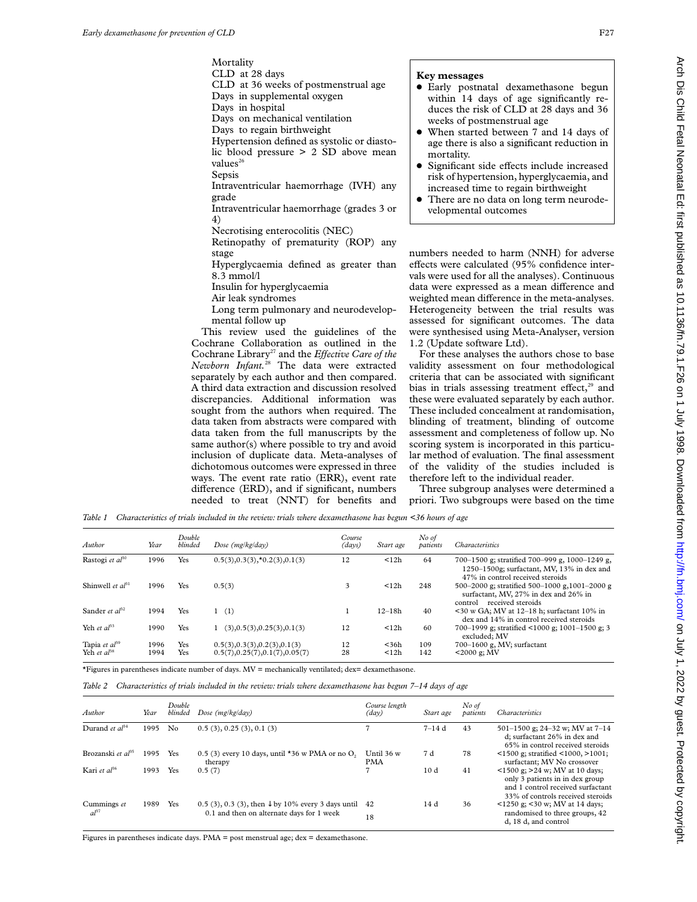Mortality CLD at 28 days CLD at 36 weeks of postmenstrual age Days in supplemental oxygen Days in hospital Days on mechanical ventilation Days to regain birthweight Hypertension defined as systolic or diastolic blood pressure > 2 SD above mean values<sup>26</sup> Sepsis Intraventricular haemorrhage (IVH) any grade Intraventricular haemorrhage (grades 3 or 4) Necrotising enterocolitis (NEC) Retinopathy of prematurity (ROP) any stage Hyperglycaemia defined as greater than 8.3 mmol/l Insulin for hyperglycaemia

Air leak syndromes

Long term pulmonary and neurodevelopmental follow up

This review used the guidelines of the Cochrane Collaboration as outlined in the Cochrane Library<sup>27</sup> and the *Effective Care of the Newborn Infant.*<sup>28</sup> The data were extracted separately by each author and then compared. A third data extraction and discussion resolved discrepancies. Additional information was sought from the authors when required. The data taken from abstracts were compared with data taken from the full manuscripts by the same author(s) where possible to try and avoid inclusion of duplicate data. Meta-analyses of dichotomous outcomes were expressed in three ways. The event rate ratio (ERR), event rate difference (ERD), and if significant, numbers needed to treat (NNT) for benefits and

## **Key messages**

- $\bullet$  Early postnatal dexamethasone begun within 14 days of age significantly reduces the risk of CLD at 28 days and 36 weeks of postmenstrual age
- When started between 7 and 14 days of age there is also a significant reduction in mortality.
- Significant side effects include increased risk of hypertension, hyperglycaemia, and increased time to regain birthweight
- There are no data on long term neurodevelopmental outcomes

numbers needed to harm (NNH) for adverse effects were calculated (95% confidence intervals were used for all the analyses). Continuous data were expressed as a mean difference and weighted mean difference in the meta-analyses. Heterogeneity between the trial results was assessed for significant outcomes. The data were synthesised using Meta-Analyser, version 1.2 (Update software Ltd).

For these analyses the authors chose to base validity assessment on four methodological criteria that can be associated with significant bias in trials assessing treatment effect, $29$  and these were evaluated separately by each author. These included concealment at randomisation, blinding of treatment, blinding of outcome assessment and completeness of follow up. No scoring system is incorporated in this particular method of evaluation. The final assessment of the validity of the studies included is therefore left to the individual reader.

Three subgroup analyses were determined a priori. Two subgroups were based on the time

*Table 1 Characteristics of trials included in the review: trials where dexamethasone has begun <36 hours of age*

| Author               | Year | Double<br>blinded | Dose ( $mg/kg/day$ )                     | Course<br>(days) | Start age  | No of<br>patients | <b>Characteristics</b>                                                                                                           |
|----------------------|------|-------------------|------------------------------------------|------------------|------------|-------------------|----------------------------------------------------------------------------------------------------------------------------------|
| Rastogi et $al^{30}$ | 1996 | Yes               | $0.5(3), 0.3(3), *0.2(3), 0.1(3)$        | 12               | < 12h      | 64                | 700-1500 g; stratified 700-999 g, 1000-1249 g.<br>1250-1500g; surfactant, MV, 13% in dex and<br>47% in control received steroids |
| Shinwell et $a^{31}$ | 1996 | Yes               | 0.5(3)                                   | 3                | < 12h      | 248               | 500-2000 g; stratified 500-1000 g, 1001-2000 g<br>surfactant, MV, 27% in dex and 26% in<br>received steroids<br>control          |
| Sander et $a^{3}$    | 1994 | Yes               | 1(1)                                     |                  | $12 - 18h$ | 40                | $<$ 30 w GA; MV at 12–18 h; surfactant 10% in<br>dex and 14% in control received steroids                                        |
| Yeh et $al^{33}$     | 1990 | Yes               | $1$ (3), $0.5(3)$ , $0.25(3)$ , $0.1(3)$ | 12               | < 12h      | 60                | 700-1999 g; stratified <1000 g; 1001-1500 g; 3<br>excluded: MV                                                                   |
| Tapia et $a^{39}$    | 1996 | Yes               | 0.5(3), 0.3(3), 0.2(3), 0.1(3)           | 12               | $<$ 36h    | 109               | 700-1600 g, MV; surfactant                                                                                                       |
| Yeh et $al^{38}$     | 1994 | Yes               | 0.5(7), 0.25(7), 0.1(7), 0.05(7)         | 28               | < 12h      | 142               | $<$ 2000 g; MV                                                                                                                   |

\*Figures in parentheses indicate number of days. MV = mechanically ventilated; dex= dexamethasone.

*Table 2 Characteristics of trials included in the review: trials where dexamethasone has begun 7–14 days of age*

| Author                        | Year | Double<br>blinded | Dose ( $mg/kg/day$ )                                                     | Course length<br>$\langle day \rangle$ | Start age | No of<br>patients | <i>Characteristics</i>                                                                                                                         |
|-------------------------------|------|-------------------|--------------------------------------------------------------------------|----------------------------------------|-----------|-------------------|------------------------------------------------------------------------------------------------------------------------------------------------|
| Durand et $a^{34}$            | 1995 | No                | 0.5(3), 0.25(3), 0.1(3)                                                  |                                        | $7 - 14d$ | 43                | 501-1500 g; 24-32 w; MV at $7-14$<br>d; surfactant 26% in dex and<br>65% in control received steroids                                          |
| Brozanski et al <sup>35</sup> | 1995 | Yes               | $0.5$ (3) every 10 days, until *36 w PMA or no O <sub>2</sub><br>therapy | Until $36w$<br><b>PMA</b>              | 7 d       | 78                | $\le$ 1500 g; stratified $\le$ 1000, $>$ 1001;<br>surfactant: MV No crossover                                                                  |
| Kari et $al^{36}$             | 1993 | Yes               | 0.5(7)                                                                   | 7                                      | 10d       | 41                | $1500$ g; $>24$ w; MV at 10 days;<br>only 3 patients in in dex group<br>and 1 control received surfactant<br>33% of controls received steroids |
| Cummings et                   | 1989 | Yes               | 0.5 (3), 0.3 (3), then $\downarrow$ by 10% every 3 days until            | 42                                     | 14 d      | 36                | $1250$ g; $30$ w; MV at 14 days;                                                                                                               |
| $a^{37}$                      |      |                   | 0.1 and then on alternate days for 1 week                                | 18                                     |           |                   | randomised to three groups, 42<br>d, 18 d, and control                                                                                         |

Figures in parentheses indicate days. PMA = post menstrual age; dex = dexamethasone.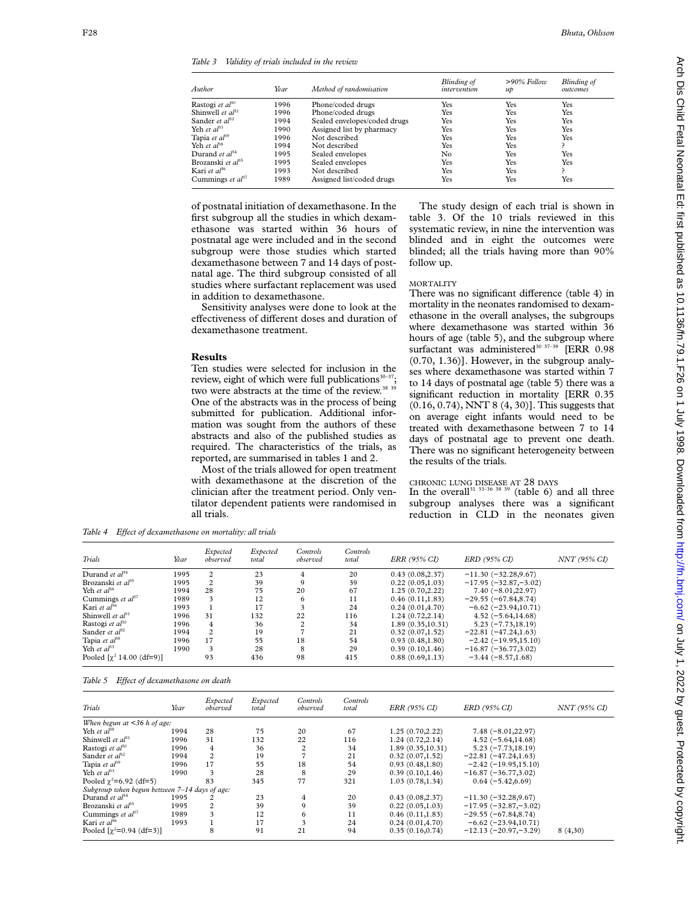*Table 3 Validity of trials included in the review*

| Author                               | Year | Method of randomisation      | <b>Blinding</b> of<br>intervention | $>90\%$ Follow<br>$\mathcal{u}\mathcal{p}$ | Blinding of<br>outcomes |
|--------------------------------------|------|------------------------------|------------------------------------|--------------------------------------------|-------------------------|
| Rastogi et al <sup>30</sup>          | 1996 | Phone/coded drugs            | Yes                                | Yes                                        | Yes                     |
| Shinwell et al <sup>31</sup>         | 1996 | Phone/coded drugs            | Yes                                | Yes                                        | Yes                     |
| Sander et al <sup>32</sup>           | 1994 | Sealed envelopes/coded drugs | Yes                                | Yes                                        | Yes                     |
| Yeh et al $^{33}$                    | 1990 | Assigned list by pharmacy    | Yes                                | Yes                                        | Yes                     |
| Tapia et al <sup>39</sup>            | 1996 | Not described                | Yes                                | Yes                                        | Yes                     |
| Yeh <i>et al</i> $a^{88}$            | 1994 | Not described                | Yes                                | Yes                                        |                         |
| Durand <i>et al</i> $^{34}$          | 1995 | Sealed envelopes             | No.                                | Yes                                        | Yes                     |
| Brozanski <i>et al</i> <sup>35</sup> | 1995 | Sealed envelopes             | Yes                                | Yes                                        | Yes                     |
| Kari <i>et al</i> <sup>36</sup>      | 1993 | Not described                | Yes                                | Yes                                        |                         |
| Cummings <i>et al</i> <sup>37</sup>  | 1989 | Assigned list/coded drugs    | Yes                                | Yes                                        | Yes                     |

of postnatal initiation of dexamethasone. In the first subgroup all the studies in which dexamethasone was started within 36 hours of postnatal age were included and in the second subgroup were those studies which started dexamethasone between 7 and 14 days of postnatal age. The third subgroup consisted of all studies where surfactant replacement was used in addition to dexamethasone.

Sensitivity analyses were done to look at the effectiveness of different doses and duration of dexamethasone treatment.

## **Results**

Ten studies were selected for inclusion in the review, eight of which were full publications $30-3$ two were abstracts at the time of the review.<sup>38 39</sup> One of the abstracts was in the process of being submitted for publication. Additional information was sought from the authors of these abstracts and also of the published studies as required. The characteristics of the trials, as reported, are summarised in tables 1 and 2.

Most of the trials allowed for open treatment with dexamethasone at the discretion of the clinician after the treatment period. Only ventilator dependent patients were randomised in all trials.

The study design of each trial is shown in table 3. Of the 10 trials reviewed in this systematic review, in nine the intervention was blinded and in eight the outcomes were blinded; all the trials having more than 90% follow up.

# MORTALITY

There was no significant difference (table 4) in mortality in the neonates randomised to dexamethasone in the overall analyses, the subgroups where dexamethasone was started within 36 hours of age (table 5), and the subgroup where surfactant was administered<sup>30 37-39</sup> [ERR 0.98 (0.70, 1.36)]. However, in the subgroup analyses where dexamethasone was started within 7 to 14 days of postnatal age (table 5) there was a significant reduction in mortality [ERR 0.35 (0.16, 0.74), NNT 8 (4, 30)]. This suggests that on average eight infants would need to be treated with dexamethasone between 7 to 14 days of postnatal age to prevent one death. There was no significant heterogeneity between the results of the trials.

### CHRONIC LUNG DISEASE AT 28 DAYS

In the overall<sup>31 33–36</sup> 38<sup>39</sup> (table 6) and all three subgroup analyses there was a significant reduction in CLD in the neonates given

Table 4 Effect of dexamethasone on mortality: all trials

| Trials                                 | Year | Expected<br>observed | Expected<br>total | Controls<br>observed | Controls<br>total | ERR (95% CI)      | ERD (95% CI)             | NNT (95% CI) |
|----------------------------------------|------|----------------------|-------------------|----------------------|-------------------|-------------------|--------------------------|--------------|
| Durand et $al^{34}$                    | 1995 | 2                    | 23                | 4                    | 20                | 0.43(0.08, 2.37)  | $-11.30(-32.28,9.67)$    |              |
| Brozanski et $a^{35}$                  | 1995 | 2                    | 39                | 9                    | 39                | 0.22(0.05, 1.03)  | $-17.95 (-32.87, -3.02)$ |              |
| Yeh et $a^{38}$                        | 1994 | 28                   | 75                | 20                   | 67                | 1.25(0.70, 2.22)  | $7.40(-8.01,22.97)$      |              |
| Cummings et $al^{37}$                  | 1989 | 3                    | 12                | 6                    | 11                | 0.46(0.11, 1.83)  | $-29.55 (-67.84, 8.74)$  |              |
| Kari et $al^{36}$                      | 1993 |                      | 17                |                      | 24                | 0.24(0.01, 4.70)  | $-6.62 (-23.94, 10.71)$  |              |
| Shinwell et $al^{31}$                  | 1996 | 31                   | 132               | 22                   | 116               | 1.24(0.72, 2.14)  | $4.52(-5.64, 14.68)$     |              |
| Rastogi et al <sup>30</sup>            | 1996 | 4                    | 36                | $\overline{c}$       | 34                | 1.89(0.35, 10.31) | $5.23(-7.73, 18.19)$     |              |
| Sander et $a^{3}$ <sup>2</sup>         | 1994 | 2                    | 19                |                      | 21                | 0.32(0.07, 1.52)  | $-22.81(-47.24,1.63)$    |              |
| Tapia et $al^{39}$                     | 1996 | 17                   | 55                | 18                   | 54                | 0.93(0.48, 1.80)  | $-2.42(-19.95,15.10)$    |              |
| Yeh et $al^{33}$                       | 1990 | 3                    | 28                | 8                    | 29                | 0.39(0.10, 1.46)  | $-16.87 (-36.77, 3.02)$  |              |
| Pooled $[\chi^2 14.00 \text{ (df=9)}]$ |      | 93                   | 436               | 98                   | 415               | 0.88(0.69, 1.13)  | $-3.44(-8.57,1.68)$      |              |

|  |  | Table 5 Effect of dexamethasone on death |  |
|--|--|------------------------------------------|--|
|--|--|------------------------------------------|--|

| Trials                                        | Year | Expected<br>observed | Expected<br>total | Controls<br>observed | Controls<br>total | ERR (95% CI)      | ERD (95% CI)            | NNT (95% CI) |
|-----------------------------------------------|------|----------------------|-------------------|----------------------|-------------------|-------------------|-------------------------|--------------|
| When begun at $\leq$ 36 h of age:             |      |                      |                   |                      |                   |                   |                         |              |
| Yeh et $al^{38}$                              | 1994 | 28                   | 75                | 20                   | 67                | 1.25(0.70, 2.22)  | $7.48(-8.01,22.97)$     |              |
| Shinwell et $a^{31}$                          | 1996 | 31                   | 132               | 22                   | 116               | 1.24(0.72, 2.14)  | $4.52(-5.64, 14.68)$    |              |
| Rastogi et al <sup>30</sup>                   | 1996 | 4                    | 36                | $\overline{c}$       | 34                | 1.89(0.35, 10.31) | $5.23(-7.73, 18.19)$    |              |
| Sander et $a^{3}$                             | 1994 | $\overline{c}$       | 19                |                      | 21                | 0.32(0.07, 1.52)  | $-22.81 (-47.24, 1.63)$ |              |
| Tapia et $a^{39}$                             | 1996 | 17                   | 55                | 18                   | 54                | 0.93(0.48, 1.80)  | $-2.42(-19.95,15.10)$   |              |
| Yeh et $al^{33}$                              | 1990 | 3                    | 28                | 8                    | 29                | 0.39(0.10, 1.46)  | $-16.87(-36.77,3.02)$   |              |
| Pooled $\gamma^2 = 6.92$ (df=5)               |      | 83                   | 345               | 77                   | 321               | 1.03(0.78, 1.34)  | $0.64(-5.42, 6.69)$     |              |
| Subgroup when begun between 7-14 days of age: |      |                      |                   |                      |                   |                   |                         |              |
| Durand et al <sup>34</sup>                    | 1995 | 2                    | 23                | 4                    | 20                | 0.43(0.08, 2.37)  | $-11.30(-32.28,9.67)$   |              |
| Brozanski et $a^{35}$                         | 1995 | 2                    | 39                | 9                    | 39                | 0.22(0.05, 1.03)  | $-17.95 (-32.87,-3.02)$ |              |
| Cummings et $a^{37}$                          | 1989 | 3                    | 12                | 6                    | 11                | 0.46(0.11, 1.83)  | $-29.55 (-67.84, 8.74)$ |              |
| Kari et $al^{36}$                             | 1993 |                      | 17                | 3                    | 24                | 0.24(0.01, 4.70)  | $-6.62 (-23.94,10.71)$  |              |
| Pooled $[\gamma^2 = 0.94$ (df=3)]             |      | 8                    | 91                | 21                   | 94                | 0.35(0.16, 0.74)  | $-12.13(-20.97,-3.29)$  | 8(4,30)      |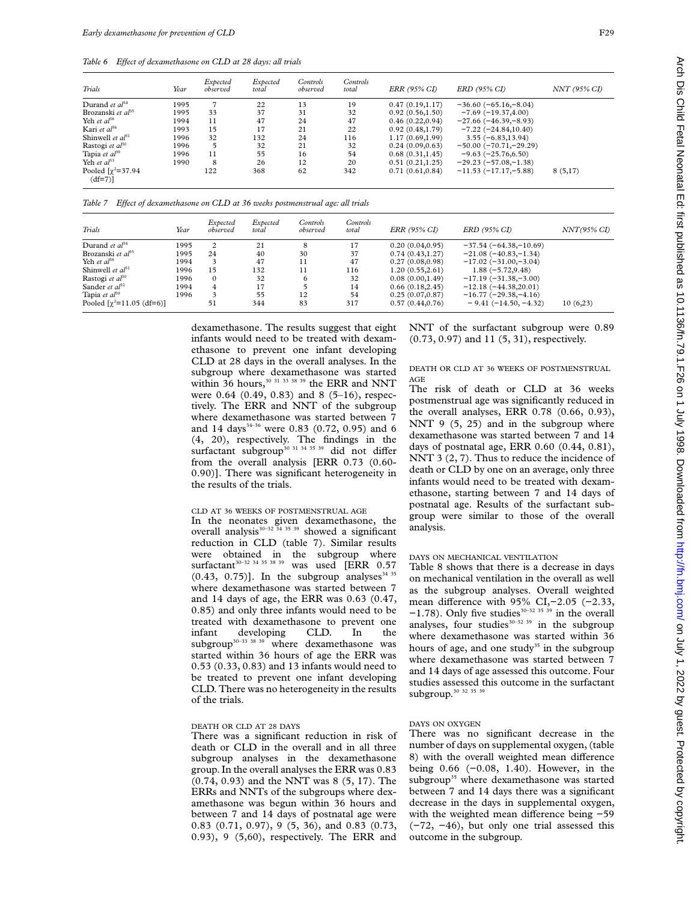Table 6 Effect of dexamethasone on CLD at 28 days: all trials

| Trials                               | Year | Expected<br>observed | Expected<br>total | Controls<br>observed | Controls<br>total | ERR (95% CI)     | ERD (95% CI)             | NNT (95% CI) |
|--------------------------------------|------|----------------------|-------------------|----------------------|-------------------|------------------|--------------------------|--------------|
| Durand et $al^{34}$                  | 1995 |                      | 22                | 13                   | 19                | 0.47(0.19,1.17)  | $-36.60(-65.16,-8.04)$   |              |
| Brozanski et $a^{35}$                | 1995 | 33                   | 37                | 31                   | 32                | 0.92(0.56, 1.50) | $-7.69(-19.37, 4.00)$    |              |
| Yeh et $a^{38}$                      | 1994 | 11                   | 47                | 24                   | 47                | 0.46(0.22, 0.94) | $-27.66(-46.39,-8.93)$   |              |
| Kari et $al^{36}$                    | 1993 | 15                   | 17                | 21                   | 22                | 0.92(0.48, 1.79) | $-7.22(-24.84,10.40)$    |              |
| Shinwell et $al^{31}$                | 1996 | 32                   | 132               | 24                   | 116               | 1.17(0.69, 1.99) | $3.55(-6.83, 13.94)$     |              |
| Rastogi et $al^{30}$                 | 1996 | 5                    | 32                | 21                   | 32                | 0.24(0.09, 0.63) | $-50.00 (-70.71,-29.29)$ |              |
| Tapia et $al^{39}$                   | 1996 | 11                   | 55                | 16                   | 54                | 0.68(0.31, 1.45) | $-9.63(-25.76,6.50)$     |              |
| Yeh et $a^{3}$                       | 1990 | 8                    | 26                | 12                   | 20                | 0.51(0.21, 1.25) | $-29.23(-57.08,-1.38)$   |              |
| Pooled $[\chi^2=37.94]$<br>$(df=7)]$ |      | 122                  | 368               | 62                   | 342               | 0.71(0.61, 0.84) | $-11.53(-17.17,-5.88)$   | 8(5,17)      |

*Table 7 EVect of dexamethasone on CLD at 36 weeks postmenstrual age: all trials*

| Trials                                   | Year | Expected<br>observed | Expected<br>total | Controls<br>observed | Controls<br>total | <i>ERR (95% CI)</i> | ERD (95% CI)            | $NNT(95\% CI)$ |
|------------------------------------------|------|----------------------|-------------------|----------------------|-------------------|---------------------|-------------------------|----------------|
| Durand et $al^{34}$                      | 1995 | $\overline{c}$       | 21                | 8                    | 17                | 0.20(0.04, 0.95)    | $-37.54(-64.38,-10.69)$ |                |
| Brozanski et $a^{35}$                    | 1995 | 24                   | 40                | 30                   | 37                | 0.74(0.43, 1.27)    | $-21.08(-40.83,-1.34)$  |                |
| Yeh et $al^{38}$                         | 1994 | 3                    | 47                | 11                   | 47                | 0.27(0.08, 0.98)    | $-17.02(-31.00,-3.04)$  |                |
| Shinwell et $al^{31}$                    | 1996 | 15                   | 132               | 11                   | 116               | 1.20(0.55, 2.61)    | $1.88(-5.72, 9.48)$     |                |
| Rastogi et $al^{30}$                     | 1996 | $\Omega$             | 32                | 6                    | 32                | 0.08(0.00, 1.49)    | $-17.19(-31.38,-3.00)$  |                |
| Sander <i>et</i> $a^{32}$                | 1994 | $\overline{4}$       | 17                |                      | 14                | 0.66(0.18, 2.45)    | $-12.18(-44.38,20.01)$  |                |
| Tapia et $al^{39}$                       | 1996 | 3                    | 55                | 12                   | 54                | 0.25(0.07, 0.87)    | $-16.77(-29.38,-4.16)$  |                |
| Pooled $[\gamma^2=11.05 \text{ (df=6)}]$ |      | 51                   | 344               | 83                   | 317               | 0.57(0.44, 0.76)    | $-9.41(-14.50,-4.32)$   | 10(6,23)       |

dexamethasone. The results suggest that eight infants would need to be treated with dexamethasone to prevent one infant developing CLD at 28 days in the overall analyses. In the subgroup where dexamethasone was started within 36 hours,<sup>30 31 33 38 39</sup> the ERR and NNT were 0.64 (0.49, 0.83) and 8 (5-16), respectively. The ERR and NNT of the subgroup where dexamethasone was started between 7 and 14 days<sup>34-36</sup> were 0.83 (0.72, 0.95) and 6 (4, 20), respectively. The findings in the surfactant subgroup<sup>30 31 34 35 39</sup> did not differ from the overall analysis [ERR 0.73 (0.60- 0.90)]. There was significant heterogeneity in the results of the trials.

#### CLD AT 36 WEEKS OF POSTMENSTRUAL AGE

In the neonates given dexamethasone, the overall analysis<sup>30–32</sup> <sup>34 35</sup> 39 showed a significant reduction in CLD (table 7). Similar results were obtained in the subgroup where<br>surfactant<sup>30-32 34 35 38</sup> 39 was used IERR 0.57 was used [ERR 0.57  $(0.43, 0.75)$ ]. In the subgroup analyses<sup>34 35</sup> where dexamethasone was started between 7 and 14 days of age, the ERR was 0.63 (0.47, 0.85) and only three infants would need to be treated with dexamethasone to prevent one infant developing CLD. In the subgroup<sup>30-33</sup> <sup>38</sup> <sup>39</sup> where dexamethasone was started within 36 hours of age the ERR was 0.53 (0.33, 0.83) and 13 infants would need to be treated to prevent one infant developing CLD. There was no heterogeneity in the results of the trials.

#### DEATH OR CLD AT 28 DAYS

There was a significant reduction in risk of death or CLD in the overall and in all three subgroup analyses in the dexamethasone group. In the overall analyses the ERR was 0.83 (0.74, 0.93) and the NNT was 8 (5, 17). The ERRs and NNTs of the subgroups where dexamethasone was begun within 36 hours and between 7 and 14 days of postnatal age were 0.83 (0.71, 0.97), 9 (5, 36), and 0.83 (0.73, 0.93), 9 (5,60), respectively. The ERR and

NNT of the surfactant subgroup were 0.89 (0.73, 0.97) and 11 (5, 31), respectively.

## DEATH OR CLD AT 36 WEEKS OF POSTMENSTRUAL AGE

The risk of death or CLD at 36 weeks postmenstrual age was significantly reduced in the overall analyses, ERR 0.78 (0.66, 0.93), NNT 9  $(5, 25)$  and in the subgroup where dexamethasone was started between 7 and 14 days of postnatal age, ERR 0.60 (0.44, 0.81), NNT 3  $(2, 7)$ . Thus to reduce the incidence of death or CLD by one on an average, only three infants would need to be treated with dexamethasone, starting between 7 and 14 days of postnatal age. Results of the surfactant subgroup were similar to those of the overall analysis.

## DAYS ON MECHANICAL VENTILATION

Table 8 shows that there is a decrease in days on mechanical ventilation in the overall as well as the subgroup analyses. Overall weighted mean difference with 95% CI,-2.05 (-2.33,  $-1.78$ ). Only five studies<sup>30–32 35 39</sup> in the overall analyses, four studies $30-32$  39 in the subgroup where dexamethasone was started within 36 hours of age, and one study<sup>35</sup> in the subgroup where dexamethasone was started between 7 and 14 days of age assessed this outcome. Four studies assessed this outcome in the surfactant subgroup.<sup>30</sup> <sup>32</sup> <sup>35</sup> <sup>39</sup>

# DAYS ON OXYGEN

There was no significant decrease in the number of days on supplemental oxygen, (table 8) with the overall weighted mean difference being 0.66 (−0.08, 1.40). However, in the subgroup<sup>35</sup> where dexamethasone was started between 7 and 14 days there was a significant decrease in the days in supplemental oxygen, with the weighted mean difference being -59 (−72, −46), but only one trial assessed this outcome in the subgroup.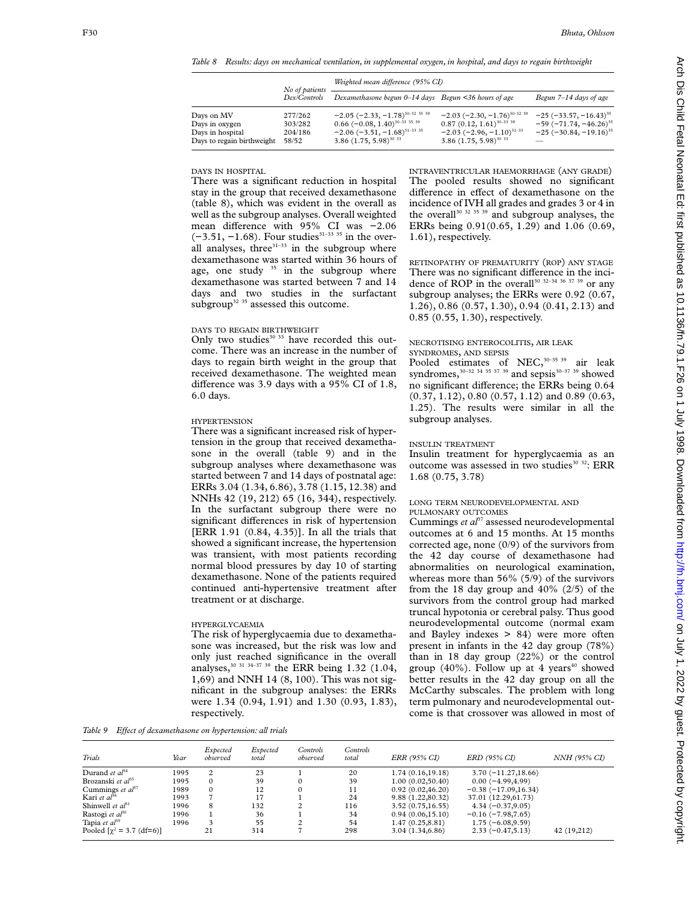*Table 8 Results: days on mechanical ventilation, in supplemental oxygen, in hospital, and days to regain birthweight*

|                                                                                | No of patients                         | Weighted mean difference (95% CI)                                                                                                                                                                                                              |                                                                                                                                                                                           |                                                                                                                                    |  |  |  |  |
|--------------------------------------------------------------------------------|----------------------------------------|------------------------------------------------------------------------------------------------------------------------------------------------------------------------------------------------------------------------------------------------|-------------------------------------------------------------------------------------------------------------------------------------------------------------------------------------------|------------------------------------------------------------------------------------------------------------------------------------|--|--|--|--|
|                                                                                | Dex/Controls                           | Dexamethasone begun 0–14 days Begun <36 hours of age                                                                                                                                                                                           |                                                                                                                                                                                           | Begun 7–14 days of age                                                                                                             |  |  |  |  |
| Days on MV<br>Days in oxygen<br>Days in hospital<br>Days to regain birthweight | 277/262<br>303/282<br>204/186<br>58/52 | $-2.05$ ( $-2.33$ , $-1.78$ ) <sup>30–32</sup> <sup>35</sup> <sup>39</sup><br>$0.66$ (-0.08, 1.40) <sup>30-33</sup> <sup>35</sup> <sup>39</sup><br>$-2.06$ ( $-3.51$ , $-1.68$ ) <sup>31–33</sup> <sup>35</sup><br>3.86 $(1.75, 5.98)^{30}$ 33 | $-2.03$ ( $-2.30$ , $-1.76$ ) <sup>30-32</sup> <sup>39</sup><br>$0.87(0.12, 1.61)^{30-33}$ <sup>39</sup><br>$-2.03$ ( $-2.96$ , $-1.10$ ) <sup>31–33</sup><br>3.86 $(1.75, 5.98)^{30}$ 33 | $-25$ (-33.57, -16.43) <sup>35</sup><br>$-59$ ( $-71.74$ , $-46.26$ ) <sup>35</sup><br>$-25$ ( $-30.84$ , $-19.16$ ) <sup>35</sup> |  |  |  |  |

DAYS IN HOSPITAL

There was a significant reduction in hospital stay in the group that received dexamethasone (table 8), which was evident in the overall as well as the subgroup analyses. Overall weighted mean difference with 95% CI was -2.06  $(-3.51, -1.68)$ . Four studies<sup>31–33 35</sup> in the overall analyses, three $31-33$  in the subgroup where dexamethasone was started within 36 hours of age, one study  $35$  in the subgroup where dexamethasone was started between 7 and 14 days and two studies in the surfactant subgroup<sup>32 35</sup> assessed this outcome.

## DAYS TO REGAIN BIRTHWEIGHT

Only two studies $30\,33$  have recorded this outcome. There was an increase in the number of days to regain birth weight in the group that received dexamethasone. The weighted mean difference was 3.9 days with a  $95\%$  CI of 1.8, 6.0 days.

### HYPERTENSION

There was a significant increased risk of hypertension in the group that received dexamethasone in the overall (table 9) and in the subgroup analyses where dexamethasone was started between 7 and 14 days of postnatal age: ERRs 3.04 (1.34, 6.86), 3.78 (1.15, 12.38) and NNHs 42 (19, 212) 65 (16, 344), respectively. In the surfactant subgroup there were no significant differences in risk of hypertension [ERR 1.91 (0.84, 4.35)]. In all the trials that showed a significant increase, the hypertension was transient, with most patients recording normal blood pressures by day 10 of starting dexamethasone. None of the patients required continued anti-hypertensive treatment after treatment or at discharge.

## HYPERGLYCAEMIA

The risk of hyperglycaemia due to dexamethasone was increased, but the risk was low and only just reached significance in the overall analyses,<sup>30 31 34-37 39</sup> the ERR being 1.32 (1.04, 1,69) and NNH 14 (8, 100). This was not significant in the subgroup analyses: the ERRs were 1.34 (0.94, 1.91) and 1.30 (0.93, 1.83), respectively.

INTRAVENTRICULAR HAEMORRHAGE (ANY GRADE) The pooled results showed no significant difference in effect of dexamethasone on the incidence of IVH all grades and grades 3 or 4 in the overall<sup>30 32 35</sup> <sup>39</sup> and subgroup analyses, the ERRs being 0.91(0.65, 1.29) and 1.06 (0.69, 1.61), respectively.

RETINOPATHY OF PREMATURITY (ROP) ANY STAGE There was no significant difference in the incidence of ROP in the overall<sup>30 32-34 36 37 39</sup> or any subgroup analyses; the ERRs were 0.92 (0.67, 1.26), 0.86 (0.57, 1.30), 0.94 (0.41, 2.13) and 0.85 (0.55, 1.30), respectively.

#### NECROTISING ENTEROCOLITIS, AIR LEAK SYNDROMES, AND SEPSIS

Pooled estimates of NEC,<sup>30-35 39</sup> air leak syndromes,  $30-32$  34 35 37 39 and sepsis $30-37$  39 showed no significant difference; the ERRs being 0.64 (0.37, 1.12), 0.80 (0.57, 1.12) and 0.89 (0.63, 1.25). The results were similar in all the subgroup analyses.

## INSULIN TREATMENT

Insulin treatment for hyperglycaemia as an outcome was assessed in two studies<sup>30 32</sup>: ERR 1.68 (0.75, 3.78)

## LONG TERM NEURODEVELOPMENTAL AND PULMONARY OUTCOMES

Cummings *et al*<sup>37</sup> assessed neurodevelopmental outcomes at 6 and 15 months. At 15 months corrected age, none (0/9) of the survivors from the 42 day course of dexamethasone had abnormalities on neurological examination, whereas more than 56% (5/9) of the survivors from the 18 day group and  $40\%$  ( $2/5$ ) of the survivors from the control group had marked truncal hypotonia or cerebral palsy. Thus good neurodevelopmental outcome (normal exam and Bayley indexes > 84) were more often present in infants in the 42 day group (78%) than in 18 day group (22%) or the control group  $(40\%)$ . Follow up at 4 years<sup>40</sup> showed better results in the 42 day group on all the McCarthy subscales. The problem with long term pulmonary and neurodevelopmental outcome is that crossover was allowed in most of

Table 9 Effect of dexamethasone on hypertension: all trials

| Trials                                   | Year | Expected<br>observed | Expected<br>total | Controls<br>observed | Controls<br>total | ERR (95% CI)      | ERD (95% CI)          | NNH (95% CI) |
|------------------------------------------|------|----------------------|-------------------|----------------------|-------------------|-------------------|-----------------------|--------------|
| Durand et $a^{34}$                       | 1995 | 2                    | 23                |                      | 20                | 1.74(0.16, 19.18) | $3.70(-11.27,18.66)$  |              |
| Brozanski et $a^{35}$                    | 1995 | $\Omega$             | 39                |                      | 39                | 1.00(0.02,50.40)  | $0.00(-4.99, 4.99)$   |              |
| Cummings et $a^{37}$                     | 1989 | $\mathbf{0}$         | 12                | $\Omega$             | 11                | 0.92(0.02, 46.20) | $-0.38(-17.09,16.34)$ |              |
| Kari et $a^{36}$                         | 1993 | 7                    |                   |                      | 24                | 9.88 (1.22,80.32) | 37.01 (12.29,61.73)   |              |
| Shinwell et $a^{31}$                     | 1996 | 8                    | 132               | $\overline{c}$       | 116               | 3.52(0.75, 16.55) | $4.34(-0.37,9.05)$    |              |
| Rastogi et $a^{30}$                      | 1996 |                      | 36                |                      | 34                | 0.94(0.06, 15.10) | $-0.16(-7.98,7.65)$   |              |
| Tapia et $al^{39}$                       | 1996 | 3                    | 55                | ◠                    | 54                | 1.47(0.25, 8.81)  | $1.75(-6.08, 9.59)$   |              |
| Pooled $[\gamma^2 = 3.7 \text{ (df=6)}]$ |      | 21                   | 314               |                      | 298               | 3.04(1.34, 6.86)  | $2.33(-0.47,5.13)$    | 42 (19,212)  |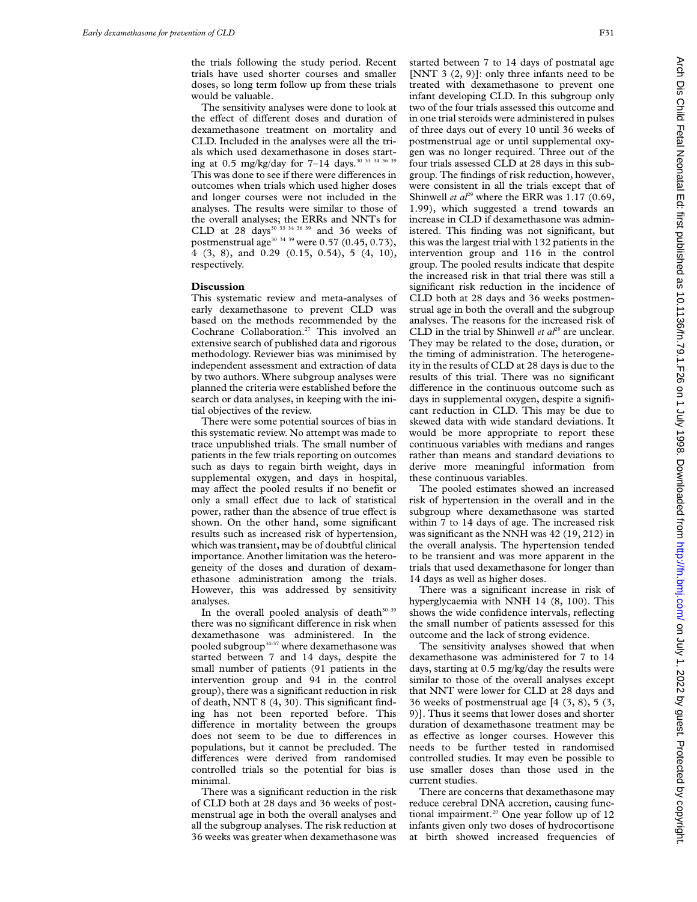the trials following the study period. Recent trials have used shorter courses and smaller doses, so long term follow up from these trials would be valuable.

The sensitivity analyses were done to look at the effect of different doses and duration of dexamethasone treatment on mortality and CLD. Included in the analyses were all the trials which used dexamethasone in doses starting at 0.5 mg/kg/day for 7-14 days.<sup>30 33 34 36 39</sup> This was done to see if there were differences in outcomes when trials which used higher doses and longer courses were not included in the analyses. The results were similar to those of the overall analyses; the ERRs and NNTs for CLD at 28 days<sup>30 33 34 36 39</sup> and 36 weeks of postmenstrual age<sup>30 34 39</sup> were 0.57 (0.45, 0.73), 4 (3, 8), and 0.29 (0.15, 0.54), 5 (4, 10), respectively.

## **Discussion**

This systematic review and meta-analyses of early dexamethasone to prevent CLD was based on the methods recommended by the Cochrane Collaboration.27 This involved an extensive search of published data and rigorous methodology. Reviewer bias was minimised by independent assessment and extraction of data by two authors. Where subgroup analyses were planned the criteria were established before the search or data analyses, in keeping with the initial objectives of the review.

There were some potential sources of bias in this systematic review. No attempt was made to trace unpublished trials. The small number of patients in the few trials reporting on outcomes such as days to regain birth weight, days in supplemental oxygen, and days in hospital, may affect the pooled results if no benefit or only a small effect due to lack of statistical power, rather than the absence of true effect is shown. On the other hand, some significant results such as increased risk of hypertension, which was transient, may be of doubtful clinical importance. Another limitation was the heterogeneity of the doses and duration of dexamethasone administration among the trials. However, this was addressed by sensitivity analyses.

In the overall pooled analysis of death $30-39$ there was no significant difference in risk when dexamethasone was administered. In the pooled subgroup<sup>34-37</sup> where dexamethasone was started between 7 and 14 days, despite the small number of patients (91 patients in the intervention group and 94 in the control group), there was a significant reduction in risk of death, NNT 8 (4, 30). This significant finding has not been reported before. This difference in mortality between the groups does not seem to be due to differences in populations, but it cannot be precluded. The differences were derived from randomised controlled trials so the potential for bias is minimal.

There was a significant reduction in the risk of CLD both at 28 days and 36 weeks of postmenstrual age in both the overall analyses and all the subgroup analyses. The risk reduction at 36 weeks was greater when dexamethasone was started between 7 to 14 days of postnatal age [NNT 3  $(2, 9)$ ]: only three infants need to be treated with dexamethasone to prevent one infant developing CLD. In this subgroup only two of the four trials assessed this outcome and in one trial steroids were administered in pulses of three days out of every 10 until 36 weeks of postmenstrual age or until supplemental oxygen was no longer required. Three out of the four trials assessed CLD at 28 days in this subgroup. The findings of risk reduction, however, were consistent in all the trials except that of Shinwell *et al*<sup>29</sup> where the ERR was 1.17 (0.69, 1.99), which suggested a trend towards an increase in CLD if dexamethasone was administered. This finding was not significant, but this was the largest trial with 132 patients in the intervention group and 116 in the control group. The pooled results indicate that despite the increased risk in that trial there was still a significant risk reduction in the incidence of CLD both at 28 days and 36 weeks postmenstrual age in both the overall and the subgroup analyses. The reasons for the increased risk of CLD in the trial by Shinwell *et*  $a^{29}$  are unclear. They may be related to the dose, duration, or the timing of administration. The heterogeneity in the results of CLD at 28 days is due to the results of this trial. There was no significant difference in the continuous outcome such as days in supplemental oxygen, despite a significant reduction in CLD. This may be due to skewed data with wide standard deviations. It would be more appropriate to report these continuous variables with medians and ranges rather than means and standard deviations to derive more meaningful information from these continuous variables.

The pooled estimates showed an increased risk of hypertension in the overall and in the subgroup where dexamethasone was started within 7 to 14 days of age. The increased risk was significant as the NNH was 42 (19, 212) in the overall analysis. The hypertension tended to be transient and was more apparent in the trials that used dexamethasone for longer than 14 days as well as higher doses.

There was a significant increase in risk of hyperglycaemia with NNH 14 (8, 100). This shows the wide confidence intervals, reflecting the small number of patients assessed for this outcome and the lack of strong evidence.

The sensitivity analyses showed that when dexamethasone was administered for 7 to 14 days, starting at 0.5 mg/kg/day the results were similar to those of the overall analyses except that NNT were lower for CLD at 28 days and 36 weeks of postmenstrual age [4 (3, 8), 5 (3, 9)]. Thus it seems that lower doses and shorter duration of dexamethasone treatment may be as effective as longer courses. However this needs to be further tested in randomised controlled studies. It may even be possible to use smaller doses than those used in the current studies.

There are concerns that dexamethasone may reduce cerebral DNA accretion, causing functional impairment.<sup>20</sup> One year follow up of  $12$ infants given only two doses of hydrocortisone at birth showed increased frequencies of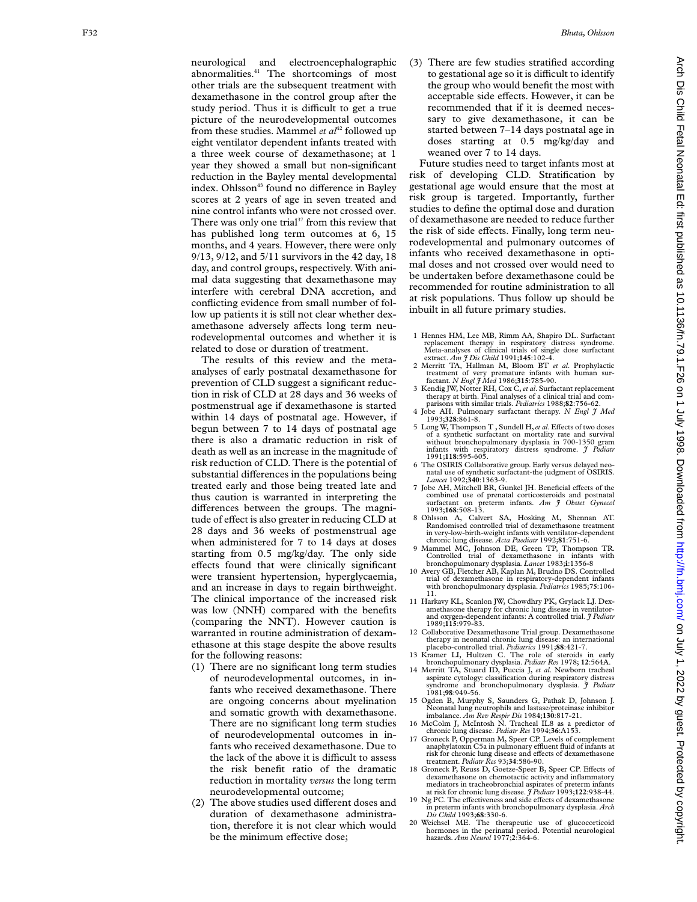neurological and electroencephalographic abnormalities.<sup>41</sup> The shortcomings of most other trials are the subsequent treatment with dexamethasone in the control group after the study period. Thus it is difficult to get a true picture of the neurodevelopmental outcomes from these studies. Mammel *et al*<sup>42</sup> followed up eight ventilator dependent infants treated with a three week course of dexamethasone; at 1 year they showed a small but non-significant reduction in the Bayley mental developmental index. Ohlsson<sup>43</sup> found no difference in Bayley scores at 2 years of age in seven treated and nine control infants who were not crossed over. There was only one trial $37$  from this review that has published long term outcomes at 6, 15 months, and 4 years. However, there were only 9/13, 9/12, and 5/11 survivors in the 42 day, 18 day, and control groups, respectively. With animal data suggesting that dexamethasone may interfere with cerebral DNA accretion, and conflicting evidence from small number of follow up patients it is still not clear whether dexamethasone adversely affects long term neurodevelopmental outcomes and whether it is related to dose or duration of treatment.

The results of this review and the metaanalyses of early postnatal dexamethasone for prevention of CLD suggest a significant reduction in risk of CLD at 28 days and 36 weeks of postmenstrual age if dexamethasone is started within 14 days of postnatal age. However, if begun between 7 to 14 days of postnatal age there is also a dramatic reduction in risk of death as well as an increase in the magnitude of risk reduction of CLD. There is the potential of substantial differences in the populations being treated early and those being treated late and thus caution is warranted in interpreting the differences between the groups. The magnitude of effect is also greater in reducing CLD at 28 days and 36 weeks of postmenstrual age when administered for 7 to 14 days at doses starting from 0.5 mg/kg/day. The only side effects found that were clinically significant were transient hypertension, hyperglycaemia, and an increase in days to regain birthweight. The clinical importance of the increased risk was low (NNH) compared with the benefits (comparing the NNT). However caution is warranted in routine administration of dexamethasone at this stage despite the above results for the following reasons:

- (1) There are no significant long term studies of neurodevelopmental outcomes, in infants who received dexamethasone. There are ongoing concerns about myelination and somatic growth with dexamethasone. There are no significant long term studies of neurodevelopmental outcomes in infants who received dexamethasone. Due to the lack of the above it is difficult to assess the risk benefit ratio of the dramatic reduction in mortality *versus* the long term neurodevelopmental outcome;
- (2) The above studies used different doses and duration of dexamethasone administration, therefore it is not clear which would be the minimum effective dose;

(3) There are few studies stratified according to gestational age so it is difficult to identify the group who would benefit the most with acceptable side effects. However, it can be recommended that if it is deemed necessary to give dexamethasone, it can be started between 7–14 days postnatal age in doses starting at 0.5 mg/kg/day and weaned over 7 to 14 days.

Future studies need to target infants most at risk of developing CLD. Stratification by gestational age would ensure that the most at risk group is targeted. Importantly, further studies to define the optimal dose and duration of dexamethasone are needed to reduce further the risk of side effects. Finally, long term neurodevelopmental and pulmonary outcomes of infants who received dexamethasone in optimal doses and not crossed over would need to be undertaken before dexamethasone could be recommended for routine administration to all at risk populations. Thus follow up should be inbuilt in all future primary studies.

- 1 Hennes HM, Lee MB, Rimm AA, Shapiro DL. Surfactant replacement therapy in respiratory distress syndrome. Meta-analyses of clinical trials of single dose surfactant extract. *Am J Dis Child* 1991;**145**:102-4.
- 2 Merritt TA, Hallman M, Bloom BT *et al*. Prophylactic treatment of very premature infants with human sur-factant*. N Engl J Med* 1986;**315**:785-90.
- 3 Kendig JW, Notter RH, Cox C,*et al*. Surfactant replacement therapy at birth. Final analyses of a clinical trial and comparisons with similar trials. *Pediatrics* 1988;**82**:756-62.
- 4 Jobe AH. Pulmonary surfactant therapy. *N Engl J Med* 1993;**328**:861-8.
- 5 Long W, Thompson T, Sundell H, et al. Effects of two doses of a synthetic surfactant on mortality rate and survival without bronchopulmonary dysplasia in 700-1350 gram infants with respiratory distress syndrome. *J Pediatr* 1991;**118**:595-605.
- 6 The OSIRIS Collaborative group. Early versus delayed neo-natal use of synthetic surfactant-the judgment of OSIRIS. *Lancet* 1992;**340**:1363-9.
- 7 Jobe AH, Mitchell BR, Gunkel JH. Beneficial effects of the combined use of prenatal corticosteroids and postnatal surfactant on preterm infants. *Am J Obstet Gynecol* 1993;**168**:508-13.
- 8 Ohlsson A, Calvert SA, Hosking M, Shennan AT. Randomised controlled trial of dexamethasone treatment in very-low-birth-weight infants with ventilator-dependent chronic lung disease*. Acta Paediatr* 1992;**81**:751-6.
- 9 Mammel MC, Johnson DE, Green TP, Thompson TR. Controlled trial of dexamethasone in infants with bronchopulmonary dysplasia*. Lancet* 1983; **i**:1356-8
- 10 Avery GB, Fletcher AB, Kaplan M, Brudno DS. Controlled trial of dexamethasone in respiratory-dependent infants with bronchopulmonary dysplasia. *Pediatrics* 1985;**75**:106- 11.
- 11 Harkavy KL, Scanlon JW, Chowdhry PK, Grylack LJ. Dexamethasone therapy for chronic lung disease in ventilatorand oxygen-dependent infants: A controlled trial. *J Pediatr* 1989;**115**:979-83.
- 12 Collaborative Dexamethasone Trial group. Dexamethasone therapy in neonatal chronic lung disease: an international placebo-controlled trial. *Pediatrics* 1991;**88**:421-7.
- 13 Kramer LI, Hultzen C. The role of steroids in early bronchopulmonary dysplasia. *Pediatr Res* 1978; **12**:564A.
- 14 Merritt TA, Stuard ID, Puccia J, *et al*. Newborn tracheal aspirate cytology: classification during respiratory distress syndrome and bronchopulmonary dysplasia. *J Pediatr* 1981;**98**:949-56.
- 15 Ogden B, Murphy S, Saunders G, Pathak D, Johnson J. Neonatal lung neutrophils and lastase/proteinase inhibitor imbalance*. Am Rev Respir Dis* 1984;**130**:817-21.
- 16 McColm J, McIntosh N. Tracheal IL8 as a predictor of chronic lung disease. *Pediatr Res* 1994;**36**:A153.
- 17 Groneck P, Opperman M, Speer CP. Levels of complement anaphylatoxin C5a in pulmonary effluent fluid of infants at risk for chronic lung disease and e Vects of dexamethasone treatment. *Pediatr Res* 93;**34**:586-90.
- 18 Groneck P, Reuss D, Goetze-Speer B, Speer CP. Effects of dexamethasone on chemotactic activity and inflammatory mediators in tracheobronchial aspirates of preterm infants at risk for chronic lung disease. *J Pediatr* 1993;**122**:938-44.
- 19 Ng PC. The effectiveness and side effects of dexamethasone in preterm infants with bronchopulmonary dysplasia. *Arch Dis Child* 1993;**68**:330-6.
- 20 Weichsel ME. The therapeutic use of glucocorticoid hormones in the perinatal period. Potential neurological hazards. *Ann Neurol* 1977; **2**:364-6.